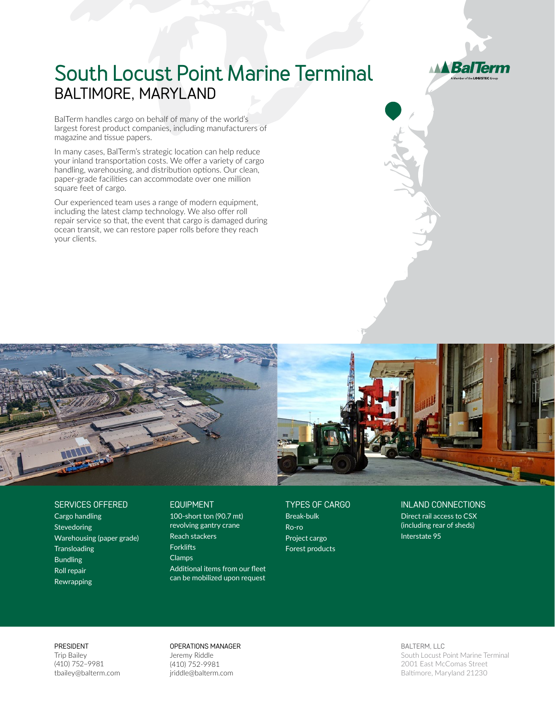

## **South Locust Point Marine Terminal** BALTIMORE, MARYLAND

BalTerm handles cargo on behalf of many of the world's largest forest product companies, including manufacturers of magazine and tissue papers.

In many cases, BalTerm's strategic location can help reduce your inland transportation costs. We offer a variety of cargo handling, warehousing, and distribution options. Our clean, paper-grade facilities can accommodate over one million square feet of cargo.

Our experienced team uses a range of modern equipment, including the latest clamp technology. We also offer roll repair service so that, the event that cargo is damaged during ocean transit, we can restore paper rolls before they reach your clients.



## SERVICES OFFERED

Cargo handling Stevedoring Warehousing (paper grade) **Transloading** Bundling Roll repair Rewrapping

## EQUIPMENT

100-short ton (90.7 mt) revolving gantry crane Reach stackers **Forklifts** Clamps Additional items from our fleet can be mobilized upon request TYPES OF CARGO Break-bulk Ro-ro Project cargo Forest products

## INLAND CONNECTIONS

Direct rail access to CSX (including rear of sheds) Interstate 95

PRESIDENT

Trip Bailey (410) 752–9981 tbailey@balterm.com OPERATIONS MANAGER Jeremy Riddle (410) 752-9981 jriddle@balterm.com

BALTERM, LLC South Locust Point Marine Terminal 2001 East McComas Street Baltimore, Maryland 21230